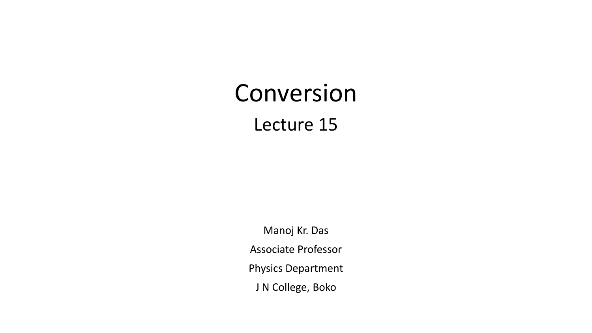# Conversion Lecture 15

Manoj Kr. Das Associate Professor Physics Department J N College, Boko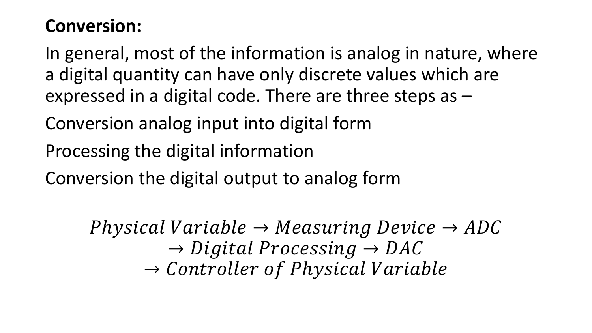#### **Conversion:**

In general, most of the information is analog in nature, where a digital quantity can have only discrete values which are expressed in a digital code. There are three steps as –

Conversion analog input into digital form

Processing the digital information

Conversion the digital output to analog form

Physical Variable  $\rightarrow Measuring$  Device  $\rightarrow ADC$  $\rightarrow$  Digital Processing  $\rightarrow$  DAC  $\rightarrow$  Controller of Physical Variable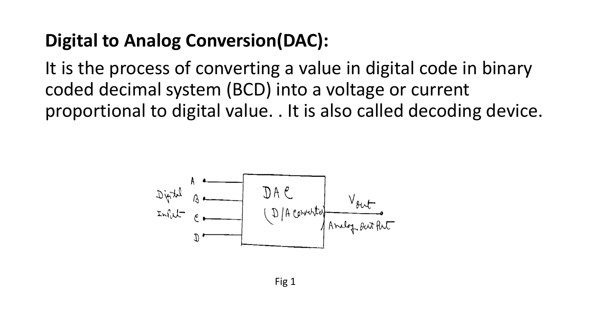## **Digital to Analog Conversion(DAC):**

It is the process of converting a value in digital code in binary coded decimal system (BCD) into a voltage or current proportional to digital value. . It is also called decoding device.

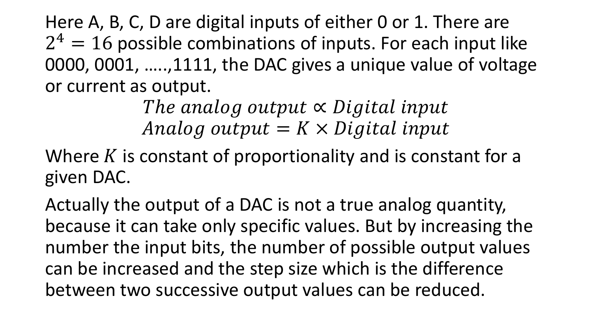Here A, B, C, D are digital inputs of either 0 or 1. There are  $2<sup>4</sup> = 16$  possible combinations of inputs. For each input like 0000, 0001, …..,1111, the DAC gives a unique value of voltage or current as output.

> The analog output  $\propto$  Digital input Analog output  $= K \times Digital$  input

Where  $K$  is constant of proportionality and is constant for a given DAC.

Actually the output of a DAC is not a true analog quantity, because it can take only specific values. But by increasing the number the input bits, the number of possible output values can be increased and the step size which is the difference between two successive output values can be reduced.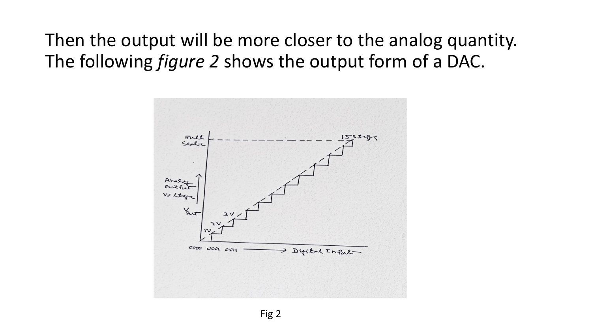Then the output will be more closer to the analog quantity. The following *figure 2* shows the output form of a DAC.

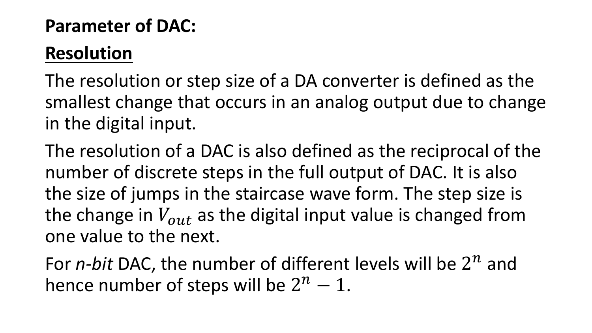#### **Parameter of DAC:**

## **Resolution**

The resolution or step size of a DA converter is defined as the smallest change that occurs in an analog output due to change in the digital input.

The resolution of a DAC is also defined as the reciprocal of the number of discrete steps in the full output of DAC. It is also the size of jumps in the staircase wave form. The step size is the change in  $V_{out}$  as the digital input value is changed from one value to the next.

For  $n$ -bit DAC, the number of different levels will be  $2^n$  and hence number of steps will be  $2^n - 1$ .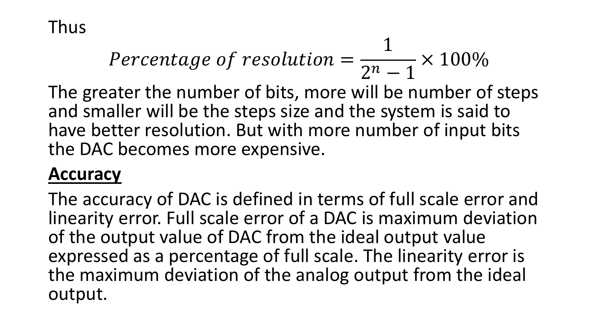Thus

$$
Percentage\ of\ resolution = \frac{1}{2^n - 1} \times 100\%
$$

The greater the number of bits, more will be number of steps and smaller will be the steps size and the system is said to have better resolution. But with more number of input bits the DAC becomes more expensive.

#### **Accuracy**

The accuracy of DAC is defined in terms of full scale error and linearity error. Full scale error of a DAC is maximum deviation of the output value of DAC from the ideal output value expressed as a percentage of full scale. The linearity error is the maximum deviation of the analog output from the ideal output.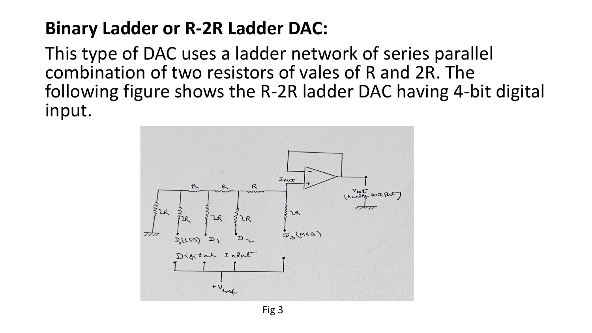## **Binary Ladder or R-2R Ladder DAC:**

This type of DAC uses a ladder network of series parallel combination of two resistors of vales of R and 2R. The following figure shows the R-2R ladder DAC having 4-bit digital input.

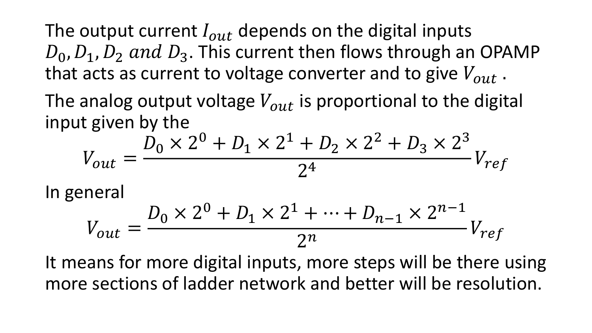The output current  $I_{out}$  depends on the digital inputs  $D_0, D_1, D_2$  and  $D_3$ . This current then flows through an OPAMP that acts as current to voltage converter and to give  $V_{out}$ .

The analog output voltage  $V_{out}$  is proportional to the digital input given by the

$$
V_{out} = \frac{D_0 \times 2^0 + D_1 \times 2^1 + D_2 \times 2^2 + D_3 \times 2^3}{2^4} V_{ref}
$$

In general

$$
V_{out} = \frac{D_0 \times 2^0 + D_1 \times 2^1 + \dots + D_{n-1} \times 2^{n-1}}{2^n} V_{ref}
$$

It means for more digital inputs, more steps will be there using more sections of ladder network and better will be resolution.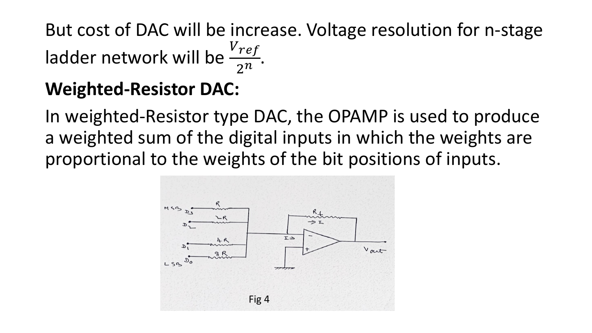But cost of DAC will be increase. Voltage resolution for n-stage ladder network will be  $\frac{V_{ref}}{2n}$  $\frac{re_j}{2^n}$ .

#### **Weighted-Resistor DAC:**

In weighted-Resistor type DAC, the OPAMP is used to produce a weighted sum of the digital inputs in which the weights are proportional to the weights of the bit positions of inputs.

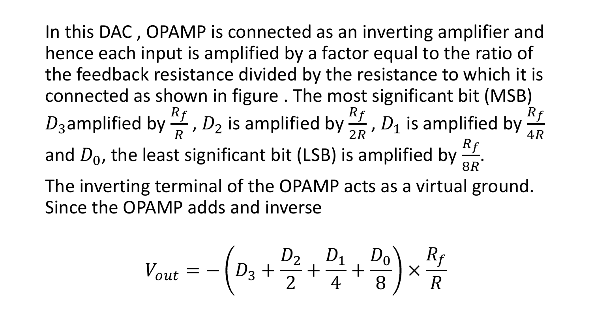In this DAC , OPAMP is connected as an inverting amplifier and hence each input is amplified by a factor equal to the ratio of the feedback resistance divided by the resistance to which it is connected as shown in figure . The most significant bit (MSB)  $D_3$ amplified by  $\frac{R_f}{R}$  $\overline{R}$ ,  $D_2$  is amplified by  $\frac{R_f}{2R}$ 2R ,  $D_1$  is amplified by  $\frac{R_f}{4R}$  $4R$ and  $D_0$ , the least significant bit (LSB) is amplified by  $\frac{R_f}{8R}$ 8 .

The inverting terminal of the OPAMP acts as a virtual ground. Since the OPAMP adds and inverse

$$
V_{out} = -\left(D_3 + \frac{D_2}{2} + \frac{D_1}{4} + \frac{D_0}{8}\right) \times \frac{R_f}{R}
$$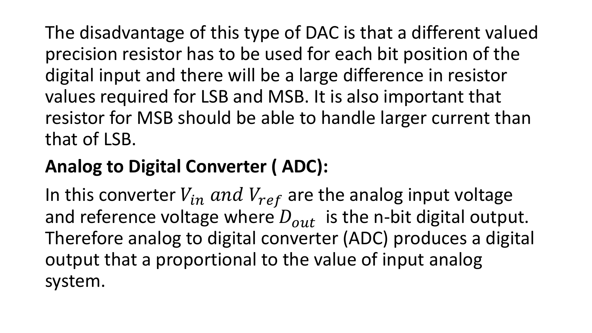The disadvantage of this type of DAC is that a different valued precision resistor has to be used for each bit position of the digital input and there will be a large difference in resistor values required for LSB and MSB. It is also important that resistor for MSB should be able to handle larger current than that of LSB.

## **Analog to Digital Converter ( ADC):**

In this converter  $V_{in}$  and  $V_{ref}$  are the analog input voltage and reference voltage where  $D_{out}$  is the n-bit digital output. Therefore analog to digital converter (ADC) produces a digital output that a proportional to the value of input analog system.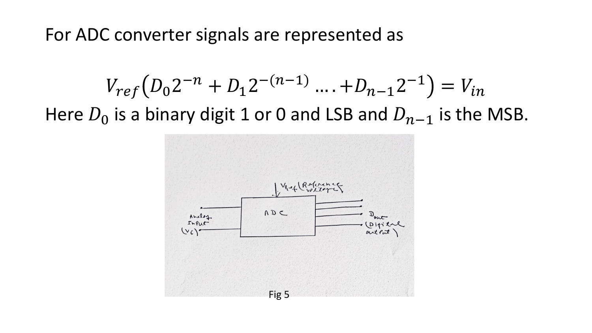For ADC converter signals are represented as

$$
V_{ref}(D_0 2^{-n} + D_1 2^{-(n-1)} \dots + D_{n-1} 2^{-1}) = V_{in}
$$
  
Here  $D_0$  is a binary digit 1 or 0 and LSB and  $D_{n-1}$  is the MSB.

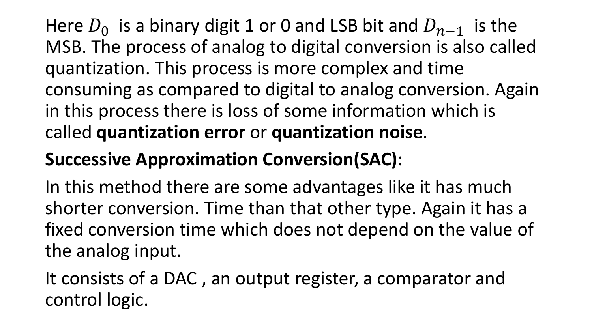Here  $D_0$  is a binary digit 1 or 0 and LSB bit and  $D_{n-1}$  is the MSB. The process of analog to digital conversion is also called quantization. This process is more complex and time consuming as compared to digital to analog conversion. Again in this process there is loss of some information which is called **quantization error** or **quantization noise**.

## **Successive Approximation Conversion(SAC)**:

In this method there are some advantages like it has much shorter conversion. Time than that other type. Again it has a fixed conversion time which does not depend on the value of the analog input.

It consists of a DAC , an output register, a comparator and control logic.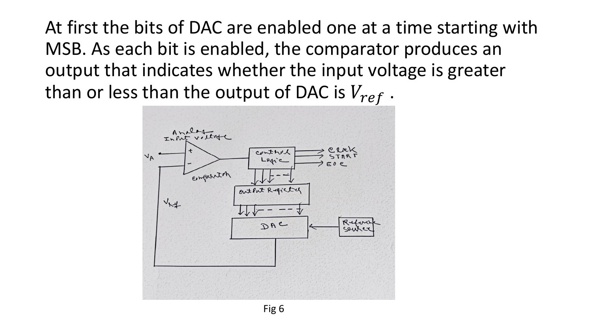At first the bits of DAC are enabled one at a time starting with MSB. As each bit is enabled, the comparator produces an output that indicates whether the input voltage is greater than or less than the output of DAC is  $V_{ref}$ .



Fig 6